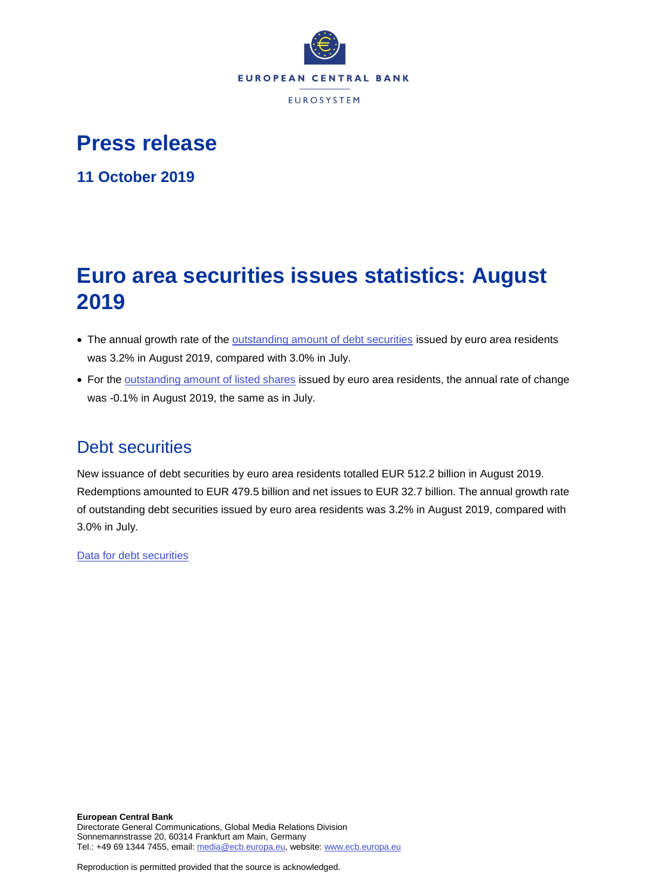

# **Press release**

**11 October 2019**

# **Euro area securities issues statistics: August 2019**

- The annual growth rate of the [outstanding amount of debt securities](http://sdw.ecb.europa.eu/quickview.do?SERIES_KEY=130.SEC.M.I8.1000.F33000.N.I.Z01.A.Z) issued by euro area residents was 3.2% in August 2019, compared with 3.0% in July.
- For the [outstanding amount of listed shares](http://sdw.ecb.europa.eu/quickview.do?SERIES_KEY=130.SEC.M.I8.1000.F51100.M.I.Z01.A.Z) issued by euro area residents, the annual rate of change was -0.1% in August 2019, the same as in July.

# Debt securities

New issuance of debt securities by euro area residents totalled EUR 512.2 billion in August 2019. Redemptions amounted to EUR 479.5 billion and net issues to EUR 32.7 billion. The annual growth rate of outstanding debt securities issued by euro area residents was 3.2% in August 2019, compared with 3.0% in July.

[Data for debt securities](http://sdw.ecb.europa.eu/browseSelection.do?type=series&q=SEC.M.I8.1000.F33000.N.2.Z01.E.Z%2c+SEC.M.I8.1000.F33000.N.3.Z01.E.Z%2c+SEC.M.I8.1000.F33000.N.4.Z01.E.Z%2c+SEC.M.I8.1000.F33000.N.I.Z01.A.Z&node=SEARCHRESULTS&ec=&oc=&rc=&cv=&pb=&dc=&df=)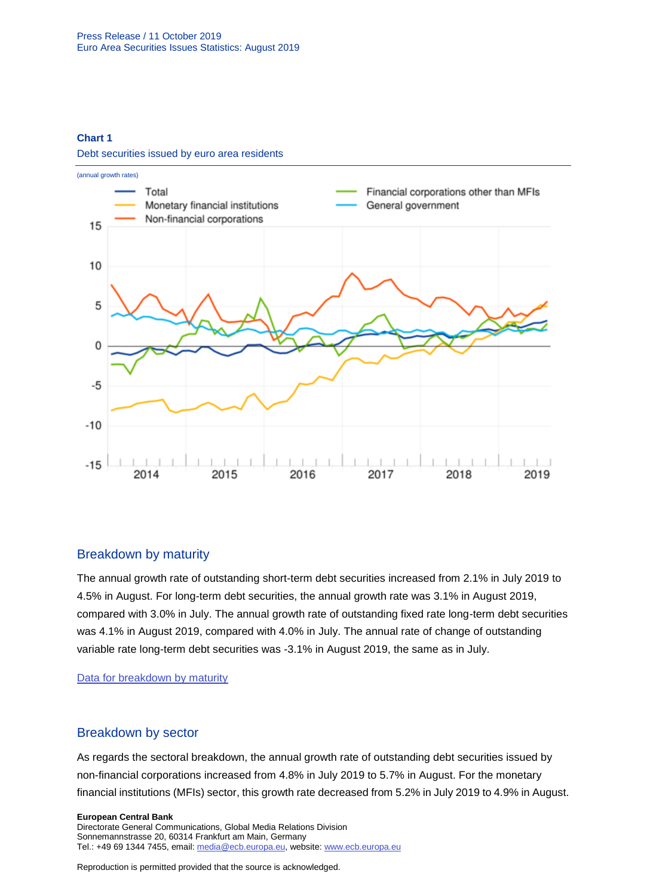#### **Chart 1**

Debt securities issued by euro area residents



## Breakdown by maturity

The annual growth rate of outstanding short-term debt securities increased from 2.1% in July 2019 to 4.5% in August. For long-term debt securities, the annual growth rate was 3.1% in August 2019, compared with 3.0% in July. The annual growth rate of outstanding fixed rate long-term debt securities was 4.1% in August 2019, compared with 4.0% in July. The annual rate of change of outstanding variable rate long-term debt securities was -3.1% in August 2019, the same as in July.

[Data for breakdown by maturity](http://sdw.ecb.europa.eu/browseSelection.do?type=series&q=SEC.M.I8.1000.F33100.N.I.Z01.A.Z%2c+SEC.M.I8.1000.F33200.N.I.Z01.A.Z%2c+SEC.M.I8.1000.F33201.N.I.Z01.A.Z%2c+SEC.M.I8.1000.F33202.N.I.Z01.A.Z&node=SEARCHRESULTS&ec=&oc=&rc=&cv=&pb=&dc=&df=)

### Breakdown by sector

As regards the sectoral breakdown, the annual growth rate of outstanding debt securities issued by non-financial corporations increased from 4.8% in July 2019 to 5.7% in August. For the monetary financial institutions (MFIs) sector, this growth rate decreased from 5.2% in July 2019 to 4.9% in August.

#### **European Central Bank**

Directorate General Communications, Global Media Relations Division Sonnemannstrasse 20, 60314 Frankfurt am Main, Germany Tel.: +49 69 1344 7455, email[: media@ecb.europa.eu,](mailto:media@ecb.europa.eu) website[: www.ecb.europa.eu](file:///C:/Users/spyroun/AppData/Roaming/OpenText/OTEdit/EC_darwin/c16022696/www.ecb.europa.eu)

Reproduction is permitted provided that the source is acknowledged.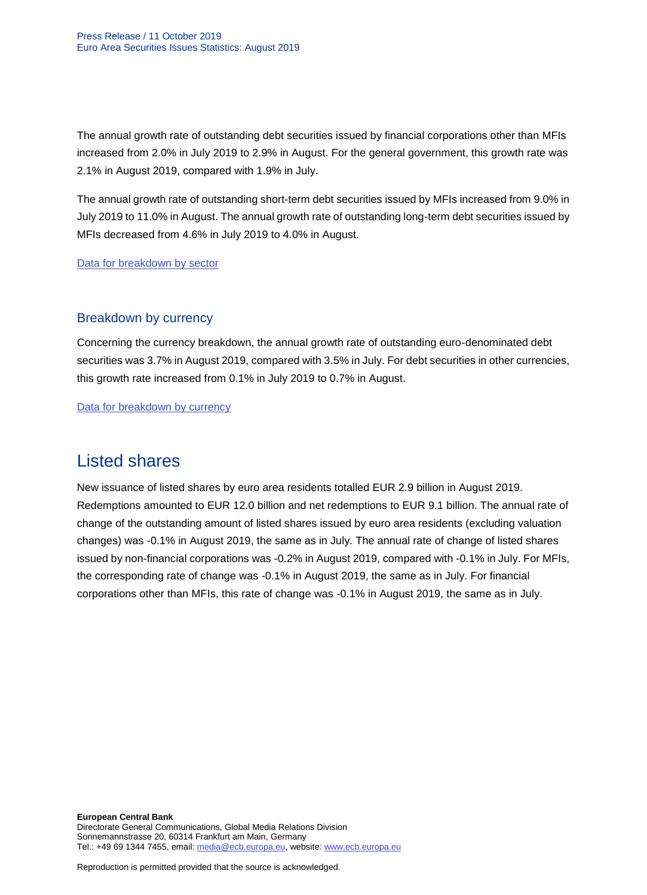The annual growth rate of outstanding debt securities issued by financial corporations other than MFIs increased from 2.0% in July 2019 to 2.9% in August. For the general government, this growth rate was 2.1% in August 2019, compared with 1.9% in July.

The annual growth rate of outstanding short-term debt securities issued by MFIs increased from 9.0% in July 2019 to 11.0% in August. The annual growth rate of outstanding long-term debt securities issued by MFIs decreased from 4.6% in July 2019 to 4.0% in August.

[Data for breakdown by sector](http://sdw.ecb.europa.eu/browseSelection.do?type=series&q=SEC.M.I8.1100.F33000.N.I.Z01.A.Z%2cSEC.M.I8.1220.F33000.N.I.Z01.A.Z%2cSEC.M.I8.1235.F33000.N.I.Z01.A.Z%2cSEC.M.I8.1300.F33000.N.I.Z01.A.Z%2cSEC.M.I8.1220.F33100.N.I.Z01.A.Z%2cSEC.M.I8.1220.F33200.N.I.Z01.A.Z&node=SEARCHRESULTS&ec=&oc=&rc=&cv=&pb=&dc=&df=)

## Breakdown by currency

Concerning the currency breakdown, the annual growth rate of outstanding euro-denominated debt securities was 3.7% in August 2019, compared with 3.5% in July. For debt securities in other currencies, this growth rate increased from 0.1% in July 2019 to 0.7% in August.

[Data for breakdown by currency](http://sdw.ecb.europa.eu/browseSelection.do?type=series&q=SEC.M.I8.1000.F33000.N.I.EUR.A.Z%2cSEC.M.I8.1000.F33000.N.I.Z06.A.Z&node=SEARCHRESULTS&ec=&oc=&rc=&cv=&pb=&dc=&df=)

# Listed shares

New issuance of listed shares by euro area residents totalled EUR 2.9 billion in August 2019. Redemptions amounted to EUR 12.0 billion and net redemptions to EUR 9.1 billion. The annual rate of change of the outstanding amount of listed shares issued by euro area residents (excluding valuation changes) was -0.1% in August 2019, the same as in July. The annual rate of change of listed shares issued by non-financial corporations was -0.2% in August 2019, compared with -0.1% in July. For MFIs, the corresponding rate of change was -0.1% in August 2019, the same as in July. For financial corporations other than MFIs, this rate of change was -0.1% in August 2019, the same as in July.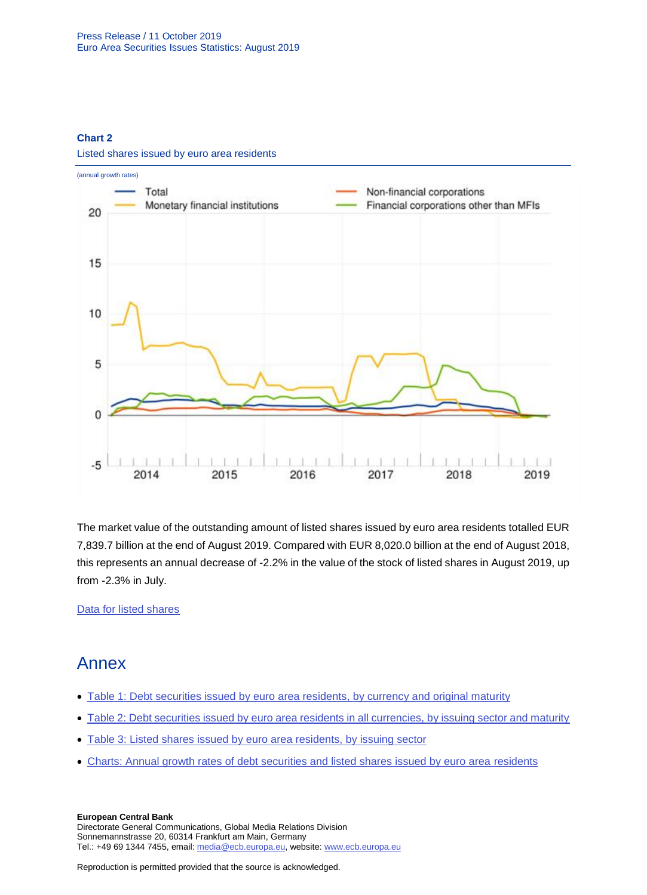### **Chart 2**



Listed shares issued by euro area residents

The market value of the outstanding amount of listed shares issued by euro area residents totalled EUR 7,839.7 billion at the end of August 2019. Compared with EUR 8,020.0 billion at the end of August 2018, this represents an annual decrease of -2.2% in the value of the stock of listed shares in August 2019, up from -2.3% in July.

[Data for listed shares](http://sdw.ecb.europa.eu/browseSelection.do?type=series&q=SEC.M.I8.1000.F51100.M.2.Z01.E.Z%2cSEC.M.I8.1000.F51100.M.3.Z01.E.Z%2cSEC.M.I8.1000.F51100.M.4.Z01.E.Z%2cSEC.M.I8.1000.F51100.M.I.Z01.A.Z%2cSEC.M.I8.1100.F51100.M.I.Z01.A.Z%2cSEC.M.I8.1220.F51100.M.I.Z01.A.Z%2cSEC.M.I8.1235.F51100.M.I.Z01.A.Z%2cSEC.M.I8.1000.F51100.M.1.Z01.E.Z&node=SEARCHRESULTS&ec=&oc=&rc=&cv=&pb=&dc=&df=)

# Annex

- [Table 1: Debt securities issued by euro area residents, by currency and original maturity](http://sdw.ecb.europa.eu/web/generator/prl/pr_sec_t01_201908.pdf)
- [Table 2: Debt securities issued by euro area residents in all currencies, by issuing sector and maturity](http://sdw.ecb.europa.eu/web/generator/prl/pr_sec_t02_201908.pdf)
- [Table 3: Listed shares issued by euro area residents, by issuing sector](http://sdw.ecb.europa.eu/web/generator/prl/pr_sec_t03_201908.pdf)
- [Charts: Annual growth rates of debt securities and listed shares issued by euro area](http://sdw.ecb.europa.eu/web/generator/prl/pr_sec_c01_201908.pdf) residents

#### **European Central Bank**

Directorate General Communications, Global Media Relations Division Sonnemannstrasse 20, 60314 Frankfurt am Main, Germany Tel.: +49 69 1344 7455, email[: media@ecb.europa.eu,](mailto:media@ecb.europa.eu) website[: www.ecb.europa.eu](file:///C:/Users/spyroun/AppData/Roaming/OpenText/OTEdit/EC_darwin/c16022696/www.ecb.europa.eu)

Reproduction is permitted provided that the source is acknowledged.